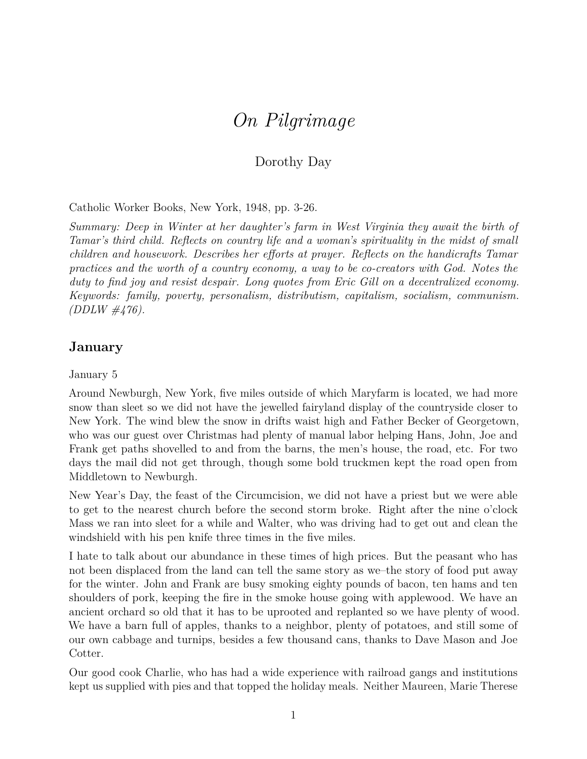## *On Pilgrimage*

## Dorothy Day

Catholic Worker Books, New York, 1948, pp. 3-26.

*Summary: Deep in Winter at her daughter's farm in West Virginia they await the birth of Tamar's third child. Reflects on country life and a woman's spirituality in the midst of small children and housework. Describes her efforts at prayer. Reflects on the handicrafts Tamar practices and the worth of a country economy, a way to be co-creators with God. Notes the duty to find joy and resist despair. Long quotes from Eric Gill on a decentralized economy. Keywords: family, poverty, personalism, distributism, capitalism, socialism, communism. (DDLW #476).*

## **January**

January 5

Around Newburgh, New York, five miles outside of which Maryfarm is located, we had more snow than sleet so we did not have the jewelled fairyland display of the countryside closer to New York. The wind blew the snow in drifts waist high and Father Becker of Georgetown, who was our guest over Christmas had plenty of manual labor helping Hans, John, Joe and Frank get paths shovelled to and from the barns, the men's house, the road, etc. For two days the mail did not get through, though some bold truckmen kept the road open from Middletown to Newburgh.

New Year's Day, the feast of the Circumcision, we did not have a priest but we were able to get to the nearest church before the second storm broke. Right after the nine o'clock Mass we ran into sleet for a while and Walter, who was driving had to get out and clean the windshield with his pen knife three times in the five miles.

I hate to talk about our abundance in these times of high prices. But the peasant who has not been displaced from the land can tell the same story as we–the story of food put away for the winter. John and Frank are busy smoking eighty pounds of bacon, ten hams and ten shoulders of pork, keeping the fire in the smoke house going with applewood. We have an ancient orchard so old that it has to be uprooted and replanted so we have plenty of wood. We have a barn full of apples, thanks to a neighbor, plenty of potatoes, and still some of our own cabbage and turnips, besides a few thousand cans, thanks to Dave Mason and Joe Cotter.

Our good cook Charlie, who has had a wide experience with railroad gangs and institutions kept us supplied with pies and that topped the holiday meals. Neither Maureen, Marie Therese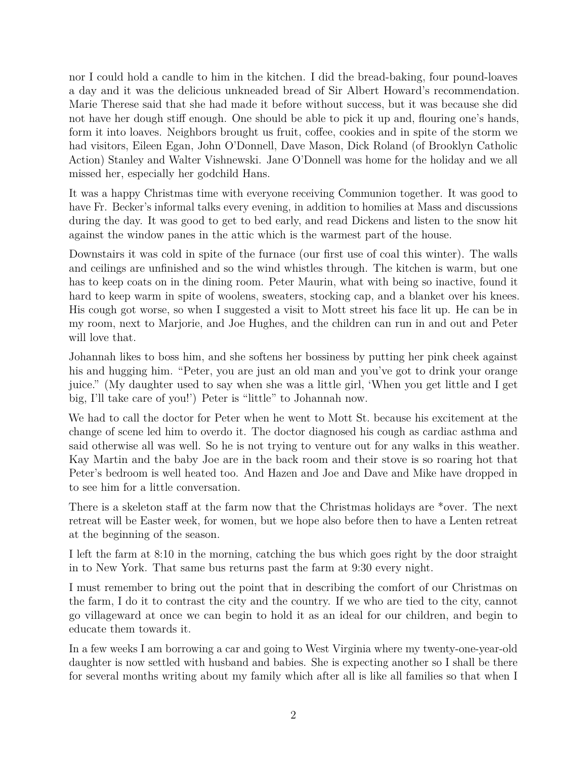nor I could hold a candle to him in the kitchen. I did the bread-baking, four pound-loaves a day and it was the delicious unkneaded bread of Sir Albert Howard's recommendation. Marie Therese said that she had made it before without success, but it was because she did not have her dough stiff enough. One should be able to pick it up and, flouring one's hands, form it into loaves. Neighbors brought us fruit, coffee, cookies and in spite of the storm we had visitors, Eileen Egan, John O'Donnell, Dave Mason, Dick Roland (of Brooklyn Catholic Action) Stanley and Walter Vishnewski. Jane O'Donnell was home for the holiday and we all missed her, especially her godchild Hans.

It was a happy Christmas time with everyone receiving Communion together. It was good to have Fr. Becker's informal talks every evening, in addition to homilies at Mass and discussions during the day. It was good to get to bed early, and read Dickens and listen to the snow hit against the window panes in the attic which is the warmest part of the house.

Downstairs it was cold in spite of the furnace (our first use of coal this winter). The walls and ceilings are unfinished and so the wind whistles through. The kitchen is warm, but one has to keep coats on in the dining room. Peter Maurin, what with being so inactive, found it hard to keep warm in spite of woolens, sweaters, stocking cap, and a blanket over his knees. His cough got worse, so when I suggested a visit to Mott street his face lit up. He can be in my room, next to Marjorie, and Joe Hughes, and the children can run in and out and Peter will love that.

Johannah likes to boss him, and she softens her bossiness by putting her pink cheek against his and hugging him. "Peter, you are just an old man and you've got to drink your orange juice." (My daughter used to say when she was a little girl, 'When you get little and I get big, I'll take care of you!') Peter is "little" to Johannah now.

We had to call the doctor for Peter when he went to Mott St. because his excitement at the change of scene led him to overdo it. The doctor diagnosed his cough as cardiac asthma and said otherwise all was well. So he is not trying to venture out for any walks in this weather. Kay Martin and the baby Joe are in the back room and their stove is so roaring hot that Peter's bedroom is well heated too. And Hazen and Joe and Dave and Mike have dropped in to see him for a little conversation.

There is a skeleton staff at the farm now that the Christmas holidays are \*over. The next retreat will be Easter week, for women, but we hope also before then to have a Lenten retreat at the beginning of the season.

I left the farm at 8:10 in the morning, catching the bus which goes right by the door straight in to New York. That same bus returns past the farm at 9:30 every night.

I must remember to bring out the point that in describing the comfort of our Christmas on the farm, I do it to contrast the city and the country. If we who are tied to the city, cannot go villageward at once we can begin to hold it as an ideal for our children, and begin to educate them towards it.

In a few weeks I am borrowing a car and going to West Virginia where my twenty-one-year-old daughter is now settled with husband and babies. She is expecting another so I shall be there for several months writing about my family which after all is like all families so that when I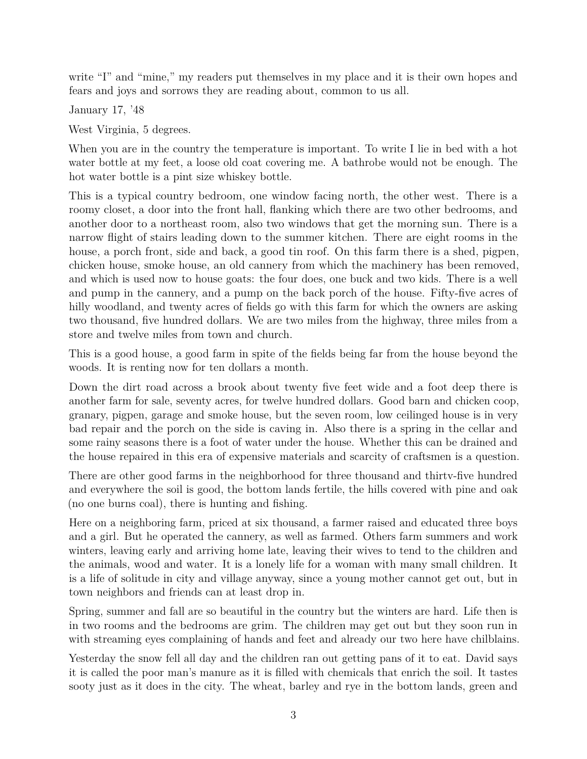write "I" and "mine," my readers put themselves in my place and it is their own hopes and fears and joys and sorrows they are reading about, common to us all.

January 17, '48

West Virginia, 5 degrees.

When you are in the country the temperature is important. To write I lie in bed with a hot water bottle at my feet, a loose old coat covering me. A bathrobe would not be enough. The hot water bottle is a pint size whiskey bottle.

This is a typical country bedroom, one window facing north, the other west. There is a roomy closet, a door into the front hall, flanking which there are two other bedrooms, and another door to a northeast room, also two windows that get the morning sun. There is a narrow flight of stairs leading down to the summer kitchen. There are eight rooms in the house, a porch front, side and back, a good tin roof. On this farm there is a shed, pigpen, chicken house, smoke house, an old cannery from which the machinery has been removed, and which is used now to house goats: the four does, one buck and two kids. There is a well and pump in the cannery, and a pump on the back porch of the house. Fifty-five acres of hilly woodland, and twenty acres of fields go with this farm for which the owners are asking two thousand, five hundred dollars. We are two miles from the highway, three miles from a store and twelve miles from town and church.

This is a good house, a good farm in spite of the fields being far from the house beyond the woods. It is renting now for ten dollars a month.

Down the dirt road across a brook about twenty five feet wide and a foot deep there is another farm for sale, seventy acres, for twelve hundred dollars. Good barn and chicken coop, granary, pigpen, garage and smoke house, but the seven room, low ceilinged house is in very bad repair and the porch on the side is caving in. Also there is a spring in the cellar and some rainy seasons there is a foot of water under the house. Whether this can be drained and the house repaired in this era of expensive materials and scarcity of craftsmen is a question.

There are other good farms in the neighborhood for three thousand and thirtv-five hundred and everywhere the soil is good, the bottom lands fertile, the hills covered with pine and oak (no one burns coal), there is hunting and fishing.

Here on a neighboring farm, priced at six thousand, a farmer raised and educated three boys and a girl. But he operated the cannery, as well as farmed. Others farm summers and work winters, leaving early and arriving home late, leaving their wives to tend to the children and the animals, wood and water. It is a lonely life for a woman with many small children. It is a life of solitude in city and village anyway, since a young mother cannot get out, but in town neighbors and friends can at least drop in.

Spring, summer and fall are so beautiful in the country but the winters are hard. Life then is in two rooms and the bedrooms are grim. The children may get out but they soon run in with streaming eyes complaining of hands and feet and already our two here have chilblains.

Yesterday the snow fell all day and the children ran out getting pans of it to eat. David says it is called the poor man's manure as it is filled with chemicals that enrich the soil. It tastes sooty just as it does in the city. The wheat, barley and rye in the bottom lands, green and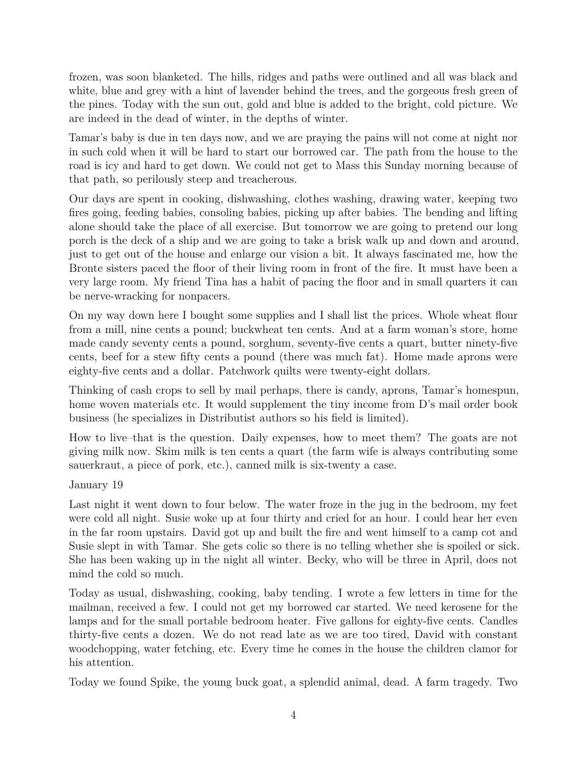frozen, was soon blanketed. The hills, ridges and paths were outlined and all was black and white, blue and grey with a hint of lavender behind the trees, and the gorgeous fresh green of the pines. Today with the sun out, gold and blue is added to the bright, cold picture. We are indeed in the dead of winter, in the depths of winter.

Tamar's baby is due in ten days now, and we are praying the pains will not come at night nor in such cold when it will be hard to start our borrowed car. The path from the house to the road is icy and hard to get down. We could not get to Mass this Sunday morning because of that path, so perilously steep and treacherous.

Our days are spent in cooking, dishwashing, clothes washing, drawing water, keeping two fires going, feeding babies, consoling babies, picking up after babies. The bending and lifting alone should take the place of all exercise. But tomorrow we are going to pretend our long porch is the deck of a ship and we are going to take a brisk walk up and down and around, just to get out of the house and enlarge our vision a bit. It always fascinated me, how the Bronte sisters paced the floor of their living room in front of the fire. It must have been a very large room. My friend Tina has a habit of pacing the floor and in small quarters it can be nerve-wracking for nonpacers.

On my way down here I bought some supplies and I shall list the prices. Whole wheat flour from a mill, nine cents a pound; buckwheat ten cents. And at a farm woman's store, home made candy seventy cents a pound, sorghum, seventy-five cents a quart, butter ninety-five cents, beef for a stew fifty cents a pound (there was much fat). Home made aprons were eighty-five cents and a dollar. Patchwork quilts were twenty-eight dollars.

Thinking of cash crops to sell by mail perhaps, there is candy, aprons, Tamar's homespun, home woven materials etc. It would supplement the tiny income from D's mail order book business (he specializes in Distributist authors so his field is limited).

How to live–that is the question. Daily expenses, how to meet them? The goats are not giving milk now. Skim milk is ten cents a quart (the farm wife is always contributing some sauerkraut, a piece of pork, etc.), canned milk is six-twenty a case.

January 19

Last night it went down to four below. The water froze in the jug in the bedroom, my feet were cold all night. Susie woke up at four thirty and cried for an hour. I could hear her even in the far room upstairs. David got up and built the fire and went himself to a camp cot and Susie slept in with Tamar. She gets colic so there is no telling whether she is spoiled or sick. She has been waking up in the night all winter. Becky, who will be three in April, does not mind the cold so much.

Today as usual, dishwashing, cooking, baby tending. I wrote a few letters in time for the mailman, received a few. I could not get my borrowed car started. We need kerosene for the lamps and for the small portable bedroom heater. Five gallons for eighty-five cents. Candles thirty-five cents a dozen. We do not read late as we are too tired, David with constant woodchopping, water fetching, etc. Every time he comes in the house the children clamor for his attention.

Today we found Spike, the young buck goat, a splendid animal, dead. A farm tragedy. Two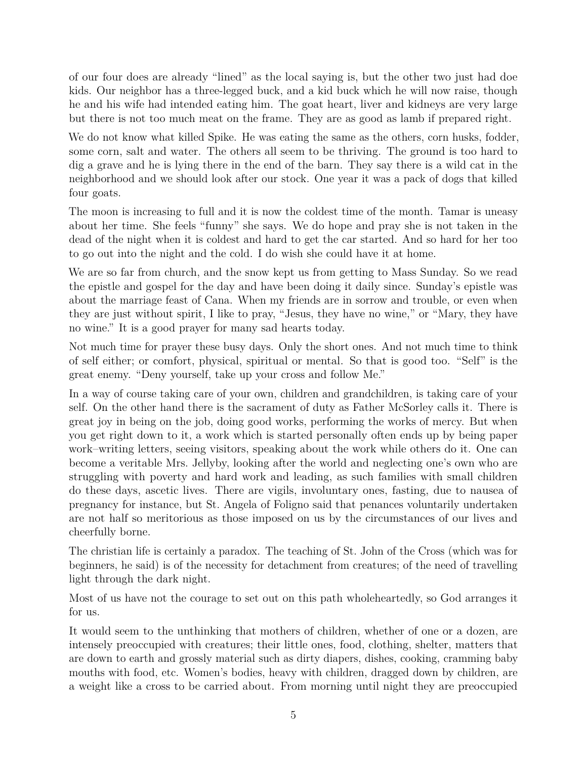of our four does are already "lined" as the local saying is, but the other two just had doe kids. Our neighbor has a three-legged buck, and a kid buck which he will now raise, though he and his wife had intended eating him. The goat heart, liver and kidneys are very large but there is not too much meat on the frame. They are as good as lamb if prepared right.

We do not know what killed Spike. He was eating the same as the others, corn husks, fodder, some corn, salt and water. The others all seem to be thriving. The ground is too hard to dig a grave and he is lying there in the end of the barn. They say there is a wild cat in the neighborhood and we should look after our stock. One year it was a pack of dogs that killed four goats.

The moon is increasing to full and it is now the coldest time of the month. Tamar is uneasy about her time. She feels "funny" she says. We do hope and pray she is not taken in the dead of the night when it is coldest and hard to get the car started. And so hard for her too to go out into the night and the cold. I do wish she could have it at home.

We are so far from church, and the snow kept us from getting to Mass Sunday. So we read the epistle and gospel for the day and have been doing it daily since. Sunday's epistle was about the marriage feast of Cana. When my friends are in sorrow and trouble, or even when they are just without spirit, I like to pray, "Jesus, they have no wine," or "Mary, they have no wine." It is a good prayer for many sad hearts today.

Not much time for prayer these busy days. Only the short ones. And not much time to think of self either; or comfort, physical, spiritual or mental. So that is good too. "Self" is the great enemy. "Deny yourself, take up your cross and follow Me."

In a way of course taking care of your own, children and grandchildren, is taking care of your self. On the other hand there is the sacrament of duty as Father McSorley calls it. There is great joy in being on the job, doing good works, performing the works of mercy. But when you get right down to it, a work which is started personally often ends up by being paper work–writing letters, seeing visitors, speaking about the work while others do it. One can become a veritable Mrs. Jellyby, looking after the world and neglecting one's own who are struggling with poverty and hard work and leading, as such families with small children do these days, ascetic lives. There are vigils, involuntary ones, fasting, due to nausea of pregnancy for instance, but St. Angela of Foligno said that penances voluntarily undertaken are not half so meritorious as those imposed on us by the circumstances of our lives and cheerfully borne.

The christian life is certainly a paradox. The teaching of St. John of the Cross (which was for beginners, he said) is of the necessity for detachment from creatures; of the need of travelling light through the dark night.

Most of us have not the courage to set out on this path wholeheartedly, so God arranges it for us.

It would seem to the unthinking that mothers of children, whether of one or a dozen, are intensely preoccupied with creatures; their little ones, food, clothing, shelter, matters that are down to earth and grossly material such as dirty diapers, dishes, cooking, cramming baby mouths with food, etc. Women's bodies, heavy with children, dragged down by children, are a weight like a cross to be carried about. From morning until night they are preoccupied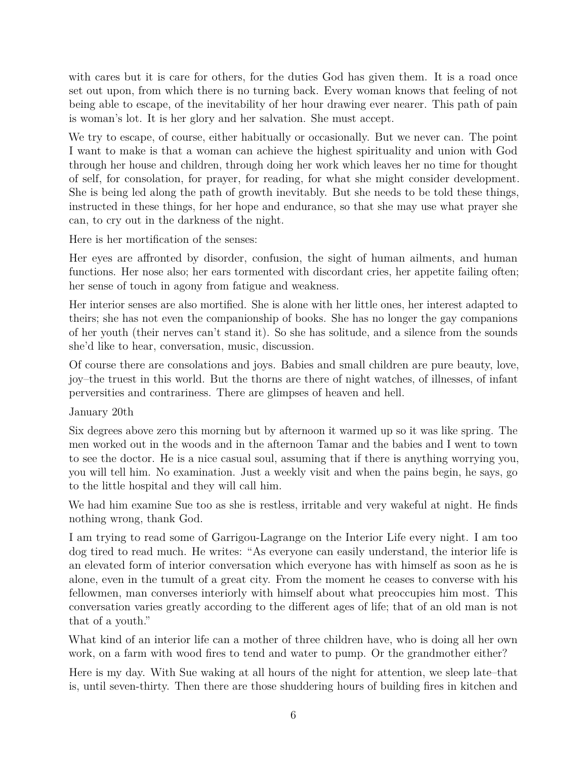with cares but it is care for others, for the duties God has given them. It is a road once set out upon, from which there is no turning back. Every woman knows that feeling of not being able to escape, of the inevitability of her hour drawing ever nearer. This path of pain is woman's lot. It is her glory and her salvation. She must accept.

We try to escape, of course, either habitually or occasionally. But we never can. The point I want to make is that a woman can achieve the highest spirituality and union with God through her house and children, through doing her work which leaves her no time for thought of self, for consolation, for prayer, for reading, for what she might consider development. She is being led along the path of growth inevitably. But she needs to be told these things, instructed in these things, for her hope and endurance, so that she may use what prayer she can, to cry out in the darkness of the night.

Here is her mortification of the senses:

Her eyes are affronted by disorder, confusion, the sight of human ailments, and human functions. Her nose also; her ears tormented with discordant cries, her appetite failing often; her sense of touch in agony from fatigue and weakness.

Her interior senses are also mortified. She is alone with her little ones, her interest adapted to theirs; she has not even the companionship of books. She has no longer the gay companions of her youth (their nerves can't stand it). So she has solitude, and a silence from the sounds she'd like to hear, conversation, music, discussion.

Of course there are consolations and joys. Babies and small children are pure beauty, love, joy–the truest in this world. But the thorns are there of night watches, of illnesses, of infant perversities and contrariness. There are glimpses of heaven and hell.

January 20th

Six degrees above zero this morning but by afternoon it warmed up so it was like spring. The men worked out in the woods and in the afternoon Tamar and the babies and I went to town to see the doctor. He is a nice casual soul, assuming that if there is anything worrying you, you will tell him. No examination. Just a weekly visit and when the pains begin, he says, go to the little hospital and they will call him.

We had him examine Sue too as she is restless, irritable and very wakeful at night. He finds nothing wrong, thank God.

I am trying to read some of Garrigou-Lagrange on the Interior Life every night. I am too dog tired to read much. He writes: "As everyone can easily understand, the interior life is an elevated form of interior conversation which everyone has with himself as soon as he is alone, even in the tumult of a great city. From the moment he ceases to converse with his fellowmen, man converses interiorly with himself about what preoccupies him most. This conversation varies greatly according to the different ages of life; that of an old man is not that of a youth."

What kind of an interior life can a mother of three children have, who is doing all her own work, on a farm with wood fires to tend and water to pump. Or the grandmother either?

Here is my day. With Sue waking at all hours of the night for attention, we sleep late–that is, until seven-thirty. Then there are those shuddering hours of building fires in kitchen and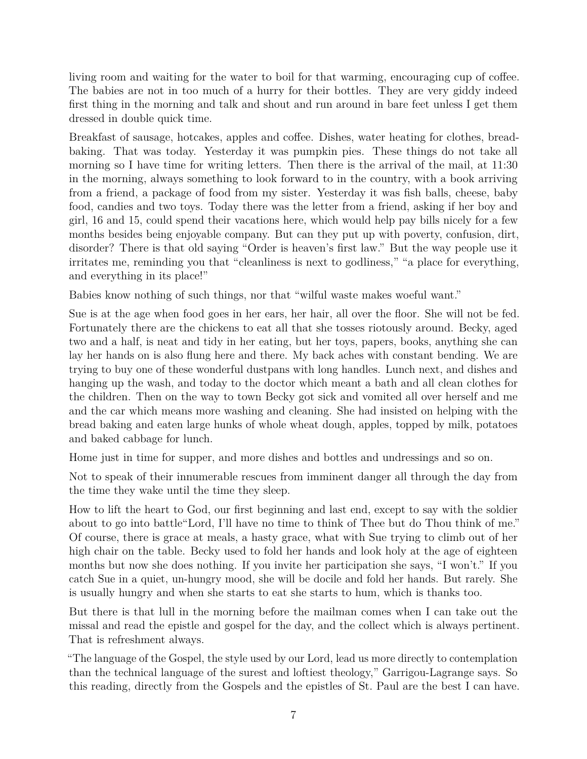living room and waiting for the water to boil for that warming, encouraging cup of coffee. The babies are not in too much of a hurry for their bottles. They are very giddy indeed first thing in the morning and talk and shout and run around in bare feet unless I get them dressed in double quick time.

Breakfast of sausage, hotcakes, apples and coffee. Dishes, water heating for clothes, breadbaking. That was today. Yesterday it was pumpkin pies. These things do not take all morning so I have time for writing letters. Then there is the arrival of the mail, at 11:30 in the morning, always something to look forward to in the country, with a book arriving from a friend, a package of food from my sister. Yesterday it was fish balls, cheese, baby food, candies and two toys. Today there was the letter from a friend, asking if her boy and girl, 16 and 15, could spend their vacations here, which would help pay bills nicely for a few months besides being enjoyable company. But can they put up with poverty, confusion, dirt, disorder? There is that old saying "Order is heaven's first law." But the way people use it irritates me, reminding you that "cleanliness is next to godliness," "a place for everything, and everything in its place!"

Babies know nothing of such things, nor that "wilful waste makes woeful want."

Sue is at the age when food goes in her ears, her hair, all over the floor. She will not be fed. Fortunately there are the chickens to eat all that she tosses riotously around. Becky, aged two and a half, is neat and tidy in her eating, but her toys, papers, books, anything she can lay her hands on is also flung here and there. My back aches with constant bending. We are trying to buy one of these wonderful dustpans with long handles. Lunch next, and dishes and hanging up the wash, and today to the doctor which meant a bath and all clean clothes for the children. Then on the way to town Becky got sick and vomited all over herself and me and the car which means more washing and cleaning. She had insisted on helping with the bread baking and eaten large hunks of whole wheat dough, apples, topped by milk, potatoes and baked cabbage for lunch.

Home just in time for supper, and more dishes and bottles and undressings and so on.

Not to speak of their innumerable rescues from imminent danger all through the day from the time they wake until the time they sleep.

How to lift the heart to God, our first beginning and last end, except to say with the soldier about to go into battle"Lord, I'll have no time to think of Thee but do Thou think of me." Of course, there is grace at meals, a hasty grace, what with Sue trying to climb out of her high chair on the table. Becky used to fold her hands and look holy at the age of eighteen months but now she does nothing. If you invite her participation she says, "I won't." If you catch Sue in a quiet, un-hungry mood, she will be docile and fold her hands. But rarely. She is usually hungry and when she starts to eat she starts to hum, which is thanks too.

But there is that lull in the morning before the mailman comes when I can take out the missal and read the epistle and gospel for the day, and the collect which is always pertinent. That is refreshment always.

"The language of the Gospel, the style used by our Lord, lead us more directly to contemplation than the technical language of the surest and loftiest theology," Garrigou-Lagrange says. So this reading, directly from the Gospels and the epistles of St. Paul are the best I can have.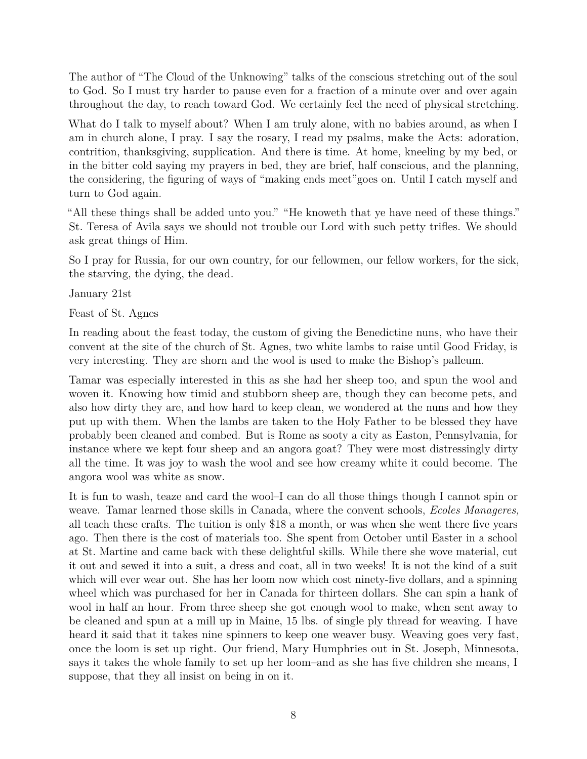The author of "The Cloud of the Unknowing" talks of the conscious stretching out of the soul to God. So I must try harder to pause even for a fraction of a minute over and over again throughout the day, to reach toward God. We certainly feel the need of physical stretching.

What do I talk to myself about? When I am truly alone, with no babies around, as when I am in church alone, I pray. I say the rosary, I read my psalms, make the Acts: adoration, contrition, thanksgiving, supplication. And there is time. At home, kneeling by my bed, or in the bitter cold saying my prayers in bed, they are brief, half conscious, and the planning, the considering, the figuring of ways of "making ends meet"goes on. Until I catch myself and turn to God again.

"All these things shall be added unto you." "He knoweth that ye have need of these things." St. Teresa of Avila says we should not trouble our Lord with such petty trifles. We should ask great things of Him.

So I pray for Russia, for our own country, for our fellowmen, our fellow workers, for the sick, the starving, the dying, the dead.

January 21st

Feast of St. Agnes

In reading about the feast today, the custom of giving the Benedictine nuns, who have their convent at the site of the church of St. Agnes, two white lambs to raise until Good Friday, is very interesting. They are shorn and the wool is used to make the Bishop's palleum.

Tamar was especially interested in this as she had her sheep too, and spun the wool and woven it. Knowing how timid and stubborn sheep are, though they can become pets, and also how dirty they are, and how hard to keep clean, we wondered at the nuns and how they put up with them. When the lambs are taken to the Holy Father to be blessed they have probably been cleaned and combed. But is Rome as sooty a city as Easton, Pennsylvania, for instance where we kept four sheep and an angora goat? They were most distressingly dirty all the time. It was joy to wash the wool and see how creamy white it could become. The angora wool was white as snow.

It is fun to wash, teaze and card the wool–I can do all those things though I cannot spin or weave. Tamar learned those skills in Canada, where the convent schools, *Ecoles Manageres,* all teach these crafts. The tuition is only \$18 a month, or was when she went there five years ago. Then there is the cost of materials too. She spent from October until Easter in a school at St. Martine and came back with these delightful skills. While there she wove material, cut it out and sewed it into a suit, a dress and coat, all in two weeks! It is not the kind of a suit which will ever wear out. She has her loom now which cost ninety-five dollars, and a spinning wheel which was purchased for her in Canada for thirteen dollars. She can spin a hank of wool in half an hour. From three sheep she got enough wool to make, when sent away to be cleaned and spun at a mill up in Maine, 15 lbs. of single ply thread for weaving. I have heard it said that it takes nine spinners to keep one weaver busy. Weaving goes very fast, once the loom is set up right. Our friend, Mary Humphries out in St. Joseph, Minnesota, says it takes the whole family to set up her loom–and as she has five children she means, I suppose, that they all insist on being in on it.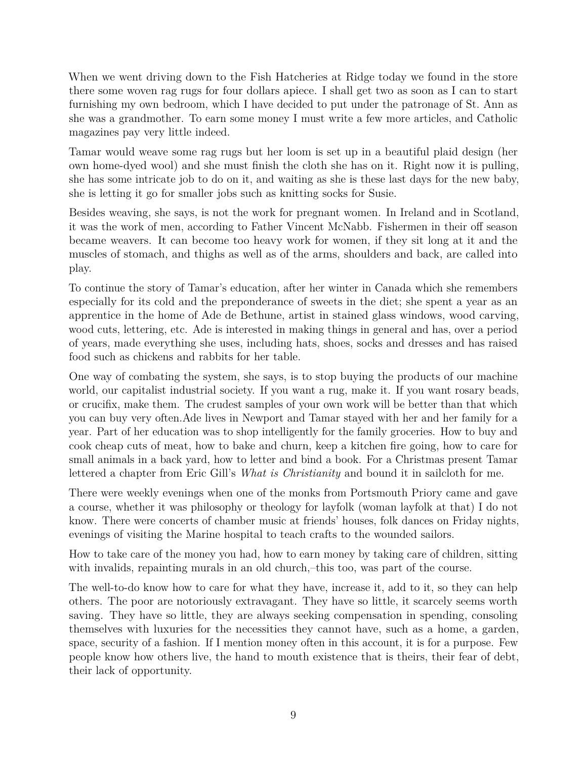When we went driving down to the Fish Hatcheries at Ridge today we found in the store there some woven rag rugs for four dollars apiece. I shall get two as soon as I can to start furnishing my own bedroom, which I have decided to put under the patronage of St. Ann as she was a grandmother. To earn some money I must write a few more articles, and Catholic magazines pay very little indeed.

Tamar would weave some rag rugs but her loom is set up in a beautiful plaid design (her own home-dyed wool) and she must finish the cloth she has on it. Right now it is pulling, she has some intricate job to do on it, and waiting as she is these last days for the new baby, she is letting it go for smaller jobs such as knitting socks for Susie.

Besides weaving, she says, is not the work for pregnant women. In Ireland and in Scotland, it was the work of men, according to Father Vincent McNabb. Fishermen in their off season became weavers. It can become too heavy work for women, if they sit long at it and the muscles of stomach, and thighs as well as of the arms, shoulders and back, are called into play.

To continue the story of Tamar's education, after her winter in Canada which she remembers especially for its cold and the preponderance of sweets in the diet; she spent a year as an apprentice in the home of Ade de Bethune, artist in stained glass windows, wood carving, wood cuts, lettering, etc. Ade is interested in making things in general and has, over a period of years, made everything she uses, including hats, shoes, socks and dresses and has raised food such as chickens and rabbits for her table.

One way of combating the system, she says, is to stop buying the products of our machine world, our capitalist industrial society. If you want a rug, make it. If you want rosary beads, or crucifix, make them. The crudest samples of your own work will be better than that which you can buy very often.Ade lives in Newport and Tamar stayed with her and her family for a year. Part of her education was to shop intelligently for the family groceries. How to buy and cook cheap cuts of meat, how to bake and churn, keep a kitchen fire going, how to care for small animals in a back yard, how to letter and bind a book. For a Christmas present Tamar lettered a chapter from Eric Gill's *What is Christianity* and bound it in sailcloth for me.

There were weekly evenings when one of the monks from Portsmouth Priory came and gave a course, whether it was philosophy or theology for layfolk (woman layfolk at that) I do not know. There were concerts of chamber music at friends' houses, folk dances on Friday nights, evenings of visiting the Marine hospital to teach crafts to the wounded sailors.

How to take care of the money you had, how to earn money by taking care of children, sitting with invalids, repainting murals in an old church,–this too, was part of the course.

The well-to-do know how to care for what they have, increase it, add to it, so they can help others. The poor are notoriously extravagant. They have so little, it scarcely seems worth saving. They have so little, they are always seeking compensation in spending, consoling themselves with luxuries for the necessities they cannot have, such as a home, a garden, space, security of a fashion. If I mention money often in this account, it is for a purpose. Few people know how others live, the hand to mouth existence that is theirs, their fear of debt, their lack of opportunity.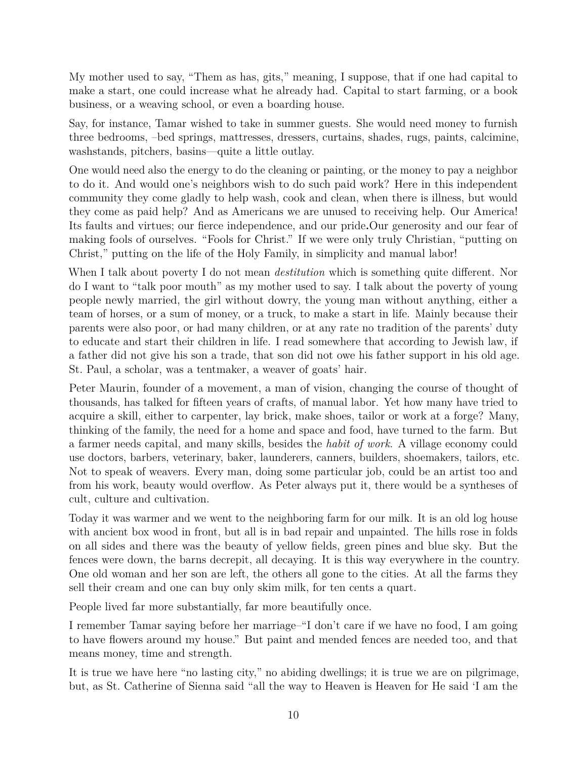My mother used to say, "Them as has, gits," meaning, I suppose, that if one had capital to make a start, one could increase what he already had. Capital to start farming, or a book business, or a weaving school, or even a boarding house.

Say, for instance, Tamar wished to take in summer guests. She would need money to furnish three bedrooms, –bed springs, mattresses, dressers, curtains, shades, rugs, paints, calcimine, washstands, pitchers, basins—quite a little outlay.

One would need also the energy to do the cleaning or painting, or the money to pay a neighbor to do it. And would one's neighbors wish to do such paid work? Here in this independent community they come gladly to help wash, cook and clean, when there is illness, but would they come as paid help? And as Americans we are unused to receiving help. Our America! Its faults and virtues; our fierce independence, and our pride**.**Our generosity and our fear of making fools of ourselves. "Fools for Christ." If we were only truly Christian, "putting on Christ," putting on the life of the Holy Family, in simplicity and manual labor!

When I talk about poverty I do not mean *destitution* which is something quite different. Nor do I want to "talk poor mouth" as my mother used to say. I talk about the poverty of young people newly married, the girl without dowry, the young man without anything, either a team of horses, or a sum of money, or a truck, to make a start in life. Mainly because their parents were also poor, or had many children, or at any rate no tradition of the parents' duty to educate and start their children in life. I read somewhere that according to Jewish law, if a father did not give his son a trade, that son did not owe his father support in his old age. St. Paul, a scholar, was a tentmaker, a weaver of goats' hair.

Peter Maurin, founder of a movement, a man of vision, changing the course of thought of thousands, has talked for fifteen years of crafts, of manual labor. Yet how many have tried to acquire a skill, either to carpenter, lay brick, make shoes, tailor or work at a forge? Many, thinking of the family, the need for a home and space and food, have turned to the farm. But a farmer needs capital, and many skills, besides the *habit of work*. A village economy could use doctors, barbers, veterinary, baker, launderers, canners, builders, shoemakers, tailors, etc. Not to speak of weavers. Every man, doing some particular job, could be an artist too and from his work, beauty would overflow. As Peter always put it, there would be a syntheses of cult, culture and cultivation.

Today it was warmer and we went to the neighboring farm for our milk. It is an old log house with ancient box wood in front, but all is in bad repair and unpainted. The hills rose in folds on all sides and there was the beauty of yellow fields, green pines and blue sky. But the fences were down, the barns decrepit, all decaying. It is this way everywhere in the country. One old woman and her son are left, the others all gone to the cities. At all the farms they sell their cream and one can buy only skim milk, for ten cents a quart.

People lived far more substantially, far more beautifully once.

I remember Tamar saying before her marriage–"I don't care if we have no food, I am going to have flowers around my house." But paint and mended fences are needed too, and that means money, time and strength.

It is true we have here "no lasting city," no abiding dwellings; it is true we are on pilgrimage, but, as St. Catherine of Sienna said "all the way to Heaven is Heaven for He said 'I am the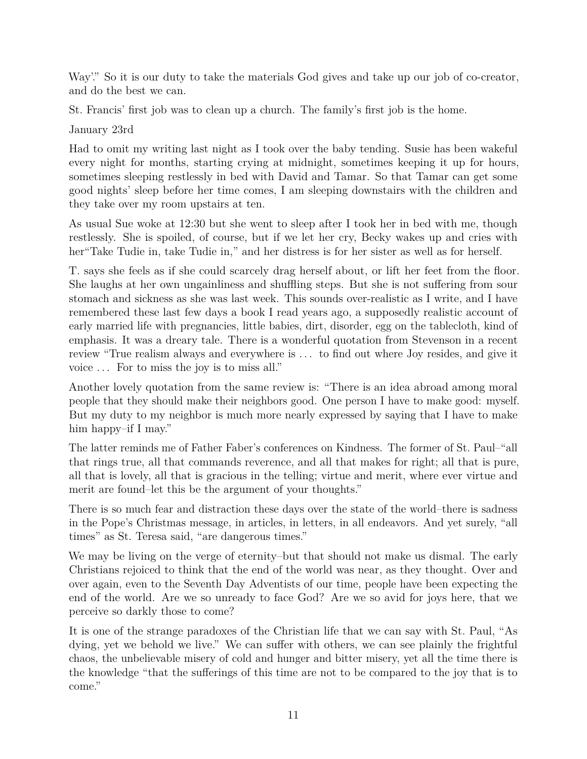Way'." So it is our duty to take the materials God gives and take up our job of co-creator, and do the best we can.

St. Francis' first job was to clean up a church. The family's first job is the home.

January 23rd

Had to omit my writing last night as I took over the baby tending. Susie has been wakeful every night for months, starting crying at midnight, sometimes keeping it up for hours, sometimes sleeping restlessly in bed with David and Tamar. So that Tamar can get some good nights' sleep before her time comes, I am sleeping downstairs with the children and they take over my room upstairs at ten.

As usual Sue woke at 12:30 but she went to sleep after I took her in bed with me, though restlessly. She is spoiled, of course, but if we let her cry, Becky wakes up and cries with her"Take Tudie in, take Tudie in," and her distress is for her sister as well as for herself.

T. says she feels as if she could scarcely drag herself about, or lift her feet from the floor. She laughs at her own ungainliness and shuffling steps. But she is not suffering from sour stomach and sickness as she was last week. This sounds over-realistic as I write, and I have remembered these last few days a book I read years ago, a supposedly realistic account of early married life with pregnancies, little babies, dirt, disorder, egg on the tablecloth, kind of emphasis. It was a dreary tale. There is a wonderful quotation from Stevenson in a recent review "True realism always and everywhere is . . . to find out where Joy resides, and give it voice . . . For to miss the joy is to miss all."

Another lovely quotation from the same review is: "There is an idea abroad among moral people that they should make their neighbors good. One person I have to make good: myself. But my duty to my neighbor is much more nearly expressed by saying that I have to make him happy–if I may."

The latter reminds me of Father Faber's conferences on Kindness. The former of St. Paul–"all that rings true, all that commands reverence, and all that makes for right; all that is pure, all that is lovely, all that is gracious in the telling; virtue and merit, where ever virtue and merit are found–let this be the argument of your thoughts."

There is so much fear and distraction these days over the state of the world–there is sadness in the Pope's Christmas message, in articles, in letters, in all endeavors. And yet surely, "all times" as St. Teresa said, "are dangerous times."

We may be living on the verge of eternity–but that should not make us dismal. The early Christians rejoiced to think that the end of the world was near, as they thought. Over and over again, even to the Seventh Day Adventists of our time, people have been expecting the end of the world. Are we so unready to face God? Are we so avid for joys here, that we perceive so darkly those to come?

It is one of the strange paradoxes of the Christian life that we can say with St. Paul, "As dying, yet we behold we live." We can suffer with others, we can see plainly the frightful chaos, the unbelievable misery of cold and hunger and bitter misery, yet all the time there is the knowledge "that the sufferings of this time are not to be compared to the joy that is to come."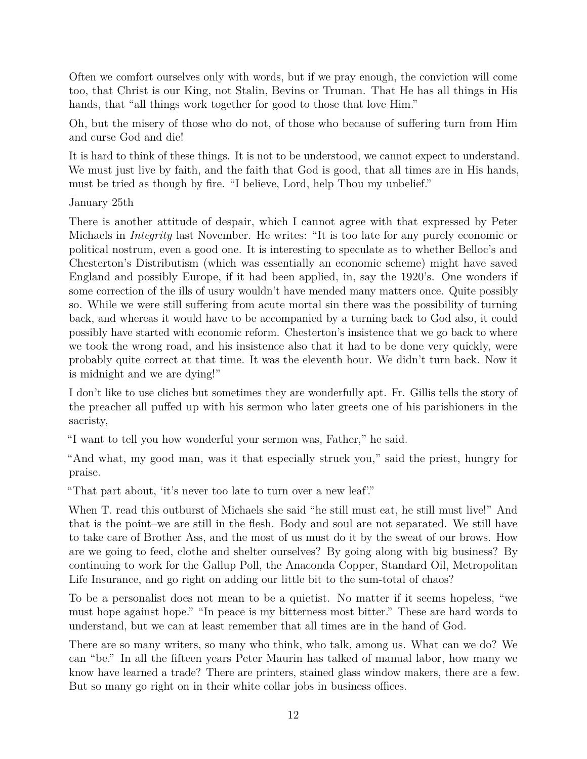Often we comfort ourselves only with words, but if we pray enough, the conviction will come too, that Christ is our King, not Stalin, Bevins or Truman. That He has all things in His hands, that "all things work together for good to those that love Him."

Oh, but the misery of those who do not, of those who because of suffering turn from Him and curse God and die!

It is hard to think of these things. It is not to be understood, we cannot expect to understand. We must just live by faith, and the faith that God is good, that all times are in His hands, must be tried as though by fire. "I believe, Lord, help Thou my unbelief."

January 25th

There is another attitude of despair, which I cannot agree with that expressed by Peter Michaels in *Integrity* last November. He writes: "It is too late for any purely economic or political nostrum, even a good one. It is interesting to speculate as to whether Belloc's and Chesterton's Distributism (which was essentially an economic scheme) might have saved England and possibly Europe, if it had been applied, in, say the 1920's. One wonders if some correction of the ills of usury wouldn't have mended many matters once. Quite possibly so. While we were still suffering from acute mortal sin there was the possibility of turning back, and whereas it would have to be accompanied by a turning back to God also, it could possibly have started with economic reform. Chesterton's insistence that we go back to where we took the wrong road, and his insistence also that it had to be done very quickly, were probably quite correct at that time. It was the eleventh hour. We didn't turn back. Now it is midnight and we are dying!"

I don't like to use cliches but sometimes they are wonderfully apt. Fr. Gillis tells the story of the preacher all puffed up with his sermon who later greets one of his parishioners in the sacristy,

"I want to tell you how wonderful your sermon was, Father," he said.

"And what, my good man, was it that especially struck you," said the priest, hungry for praise.

"That part about, 'it's never too late to turn over a new leaf'."

When T. read this outburst of Michaels she said "he still must eat, he still must live!" And that is the point–we are still in the flesh. Body and soul are not separated. We still have to take care of Brother Ass, and the most of us must do it by the sweat of our brows. How are we going to feed, clothe and shelter ourselves? By going along with big business? By continuing to work for the Gallup Poll, the Anaconda Copper, Standard Oil, Metropolitan Life Insurance, and go right on adding our little bit to the sum-total of chaos?

To be a personalist does not mean to be a quietist. No matter if it seems hopeless, "we must hope against hope." "In peace is my bitterness most bitter." These are hard words to understand, but we can at least remember that all times are in the hand of God.

There are so many writers, so many who think, who talk, among us. What can we do? We can "be." In all the fifteen years Peter Maurin has talked of manual labor, how many we know have learned a trade? There are printers, stained glass window makers, there are a few. But so many go right on in their white collar jobs in business offices.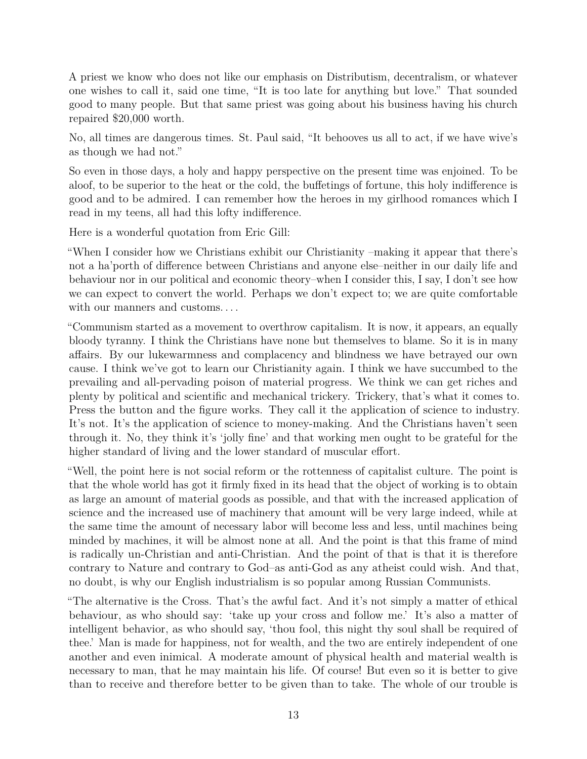A priest we know who does not like our emphasis on Distributism, decentralism, or whatever one wishes to call it, said one time, "It is too late for anything but love." That sounded good to many people. But that same priest was going about his business having his church repaired \$20,000 worth.

No, all times are dangerous times. St. Paul said, "It behooves us all to act, if we have wive's as though we had not."

So even in those days, a holy and happy perspective on the present time was enjoined. To be aloof, to be superior to the heat or the cold, the buffetings of fortune, this holy indifference is good and to be admired. I can remember how the heroes in my girlhood romances which I read in my teens, all had this lofty indifference.

Here is a wonderful quotation from Eric Gill:

"When I consider how we Christians exhibit our Christianity –making it appear that there's not a ha'porth of difference between Christians and anyone else–neither in our daily life and behaviour nor in our political and economic theory–when I consider this, I say, I don't see how we can expect to convert the world. Perhaps we don't expect to; we are quite comfortable with our manners and customs....

"Communism started as a movement to overthrow capitalism. It is now, it appears, an equally bloody tyranny. I think the Christians have none but themselves to blame. So it is in many affairs. By our lukewarmness and complacency and blindness we have betrayed our own cause. I think we've got to learn our Christianity again. I think we have succumbed to the prevailing and all-pervading poison of material progress. We think we can get riches and plenty by political and scientific and mechanical trickery. Trickery, that's what it comes to. Press the button and the figure works. They call it the application of science to industry. It's not. It's the application of science to money-making. And the Christians haven't seen through it. No, they think it's 'jolly fine' and that working men ought to be grateful for the higher standard of living and the lower standard of muscular effort.

"Well, the point here is not social reform or the rottenness of capitalist culture. The point is that the whole world has got it firmly fixed in its head that the object of working is to obtain as large an amount of material goods as possible, and that with the increased application of science and the increased use of machinery that amount will be very large indeed, while at the same time the amount of necessary labor will become less and less, until machines being minded by machines, it will be almost none at all. And the point is that this frame of mind is radically un-Christian and anti-Christian. And the point of that is that it is therefore contrary to Nature and contrary to God–as anti-God as any atheist could wish. And that, no doubt, is why our English industrialism is so popular among Russian Communists.

"The alternative is the Cross. That's the awful fact. And it's not simply a matter of ethical behaviour, as who should say: 'take up your cross and follow me.' It's also a matter of intelligent behavior, as who should say, 'thou fool, this night thy soul shall be required of thee.' Man is made for happiness, not for wealth, and the two are entirely independent of one another and even inimical. A moderate amount of physical health and material wealth is necessary to man, that he may maintain his life. Of course! But even so it is better to give than to receive and therefore better to be given than to take. The whole of our trouble is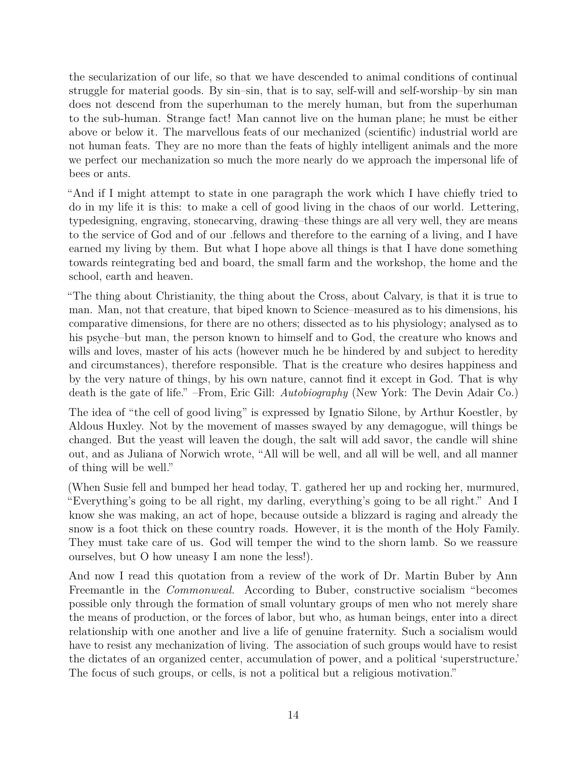the secularization of our life, so that we have descended to animal conditions of continual struggle for material goods. By sin–sin, that is to say, self-will and self-worship–by sin man does not descend from the superhuman to the merely human, but from the superhuman to the sub-human. Strange fact! Man cannot live on the human plane; he must be either above or below it. The marvellous feats of our mechanized (scientific) industrial world are not human feats. They are no more than the feats of highly intelligent animals and the more we perfect our mechanization so much the more nearly do we approach the impersonal life of bees or ants.

"And if I might attempt to state in one paragraph the work which I have chiefly tried to do in my life it is this: to make a cell of good living in the chaos of our world. Lettering, typedesigning, engraving, stonecarving, drawing–these things are all very well, they are means to the service of God and of our .fellows and therefore to the earning of a living, and I have earned my living by them. But what I hope above all things is that I have done something towards reintegrating bed and board, the small farm and the workshop, the home and the school, earth and heaven.

"The thing about Christianity, the thing about the Cross, about Calvary, is that it is true to man. Man, not that creature, that biped known to Science–measured as to his dimensions, his comparative dimensions, for there are no others; dissected as to his physiology; analysed as to his psyche–but man, the person known to himself and to God, the creature who knows and wills and loves, master of his acts (however much he be hindered by and subject to heredity and circumstances), therefore responsible. That is the creature who desires happiness and by the very nature of things, by his own nature, cannot find it except in God. That is why death is the gate of life." –From, Eric Gill: *Autobiography* (New York: The Devin Adair Co.)

The idea of "the cell of good living" is expressed by Ignatio Silone, by Arthur Koestler, by Aldous Huxley. Not by the movement of masses swayed by any demagogue, will things be changed. But the yeast will leaven the dough, the salt will add savor, the candle will shine out, and as Juliana of Norwich wrote, "All will be well, and all will be well, and all manner of thing will be well."

(When Susie fell and bumped her head today, T. gathered her up and rocking her, murmured, "Everything's going to be all right, my darling, everything's going to be all right." And I know she was making, an act of hope, because outside a blizzard is raging and already the snow is a foot thick on these country roads. However, it is the month of the Holy Family. They must take care of us. God will temper the wind to the shorn lamb. So we reassure ourselves, but O how uneasy I am none the less!).

And now I read this quotation from a review of the work of Dr. Martin Buber by Ann Freemantle in the *Commonweal.* According to Buber, constructive socialism "becomes possible only through the formation of small voluntary groups of men who not merely share the means of production, or the forces of labor, but who, as human beings, enter into a direct relationship with one another and live a life of genuine fraternity. Such a socialism would have to resist any mechanization of living. The association of such groups would have to resist the dictates of an organized center, accumulation of power, and a political 'superstructure.' The focus of such groups, or cells, is not a political but a religious motivation."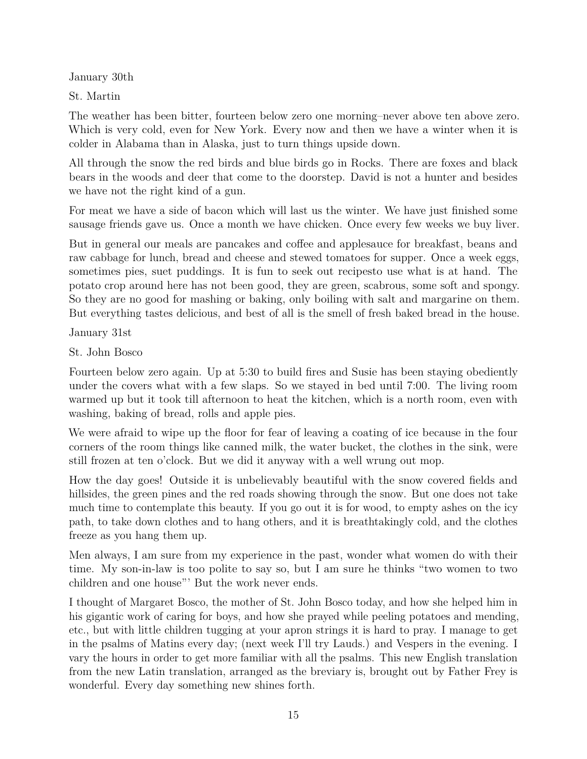January 30th

St. Martin

The weather has been bitter, fourteen below zero one morning–never above ten above zero. Which is very cold, even for New York. Every now and then we have a winter when it is colder in Alabama than in Alaska, just to turn things upside down.

All through the snow the red birds and blue birds go in Rocks. There are foxes and black bears in the woods and deer that come to the doorstep. David is not a hunter and besides we have not the right kind of a gun.

For meat we have a side of bacon which will last us the winter. We have just finished some sausage friends gave us. Once a month we have chicken. Once every few weeks we buy liver.

But in general our meals are pancakes and coffee and applesauce for breakfast, beans and raw cabbage for lunch, bread and cheese and stewed tomatoes for supper. Once a week eggs, sometimes pies, suet puddings. It is fun to seek out recipesto use what is at hand. The potato crop around here has not been good, they are green, scabrous, some soft and spongy. So they are no good for mashing or baking, only boiling with salt and margarine on them. But everything tastes delicious, and best of all is the smell of fresh baked bread in the house.

January 31st

St. John Bosco

Fourteen below zero again. Up at 5:30 to build fires and Susie has been staying obediently under the covers what with a few slaps. So we stayed in bed until 7:00. The living room warmed up but it took till afternoon to heat the kitchen, which is a north room, even with washing, baking of bread, rolls and apple pies.

We were afraid to wipe up the floor for fear of leaving a coating of ice because in the four corners of the room things like canned milk, the water bucket, the clothes in the sink, were still frozen at ten o'clock. But we did it anyway with a well wrung out mop.

How the day goes! Outside it is unbelievably beautiful with the snow covered fields and hillsides, the green pines and the red roads showing through the snow. But one does not take much time to contemplate this beauty. If you go out it is for wood, to empty ashes on the icy path, to take down clothes and to hang others, and it is breathtakingly cold, and the clothes freeze as you hang them up.

Men always, I am sure from my experience in the past, wonder what women do with their time. My son-in-law is too polite to say so, but I am sure he thinks "two women to two children and one house"' But the work never ends.

I thought of Margaret Bosco, the mother of St. John Bosco today, and how she helped him in his gigantic work of caring for boys, and how she prayed while peeling potatoes and mending, etc., but with little children tugging at your apron strings it is hard to pray. I manage to get in the psalms of Matins every day; (next week I'll try Lauds.) and Vespers in the evening. I vary the hours in order to get more familiar with all the psalms. This new English translation from the new Latin translation, arranged as the breviary is, brought out by Father Frey is wonderful. Every day something new shines forth.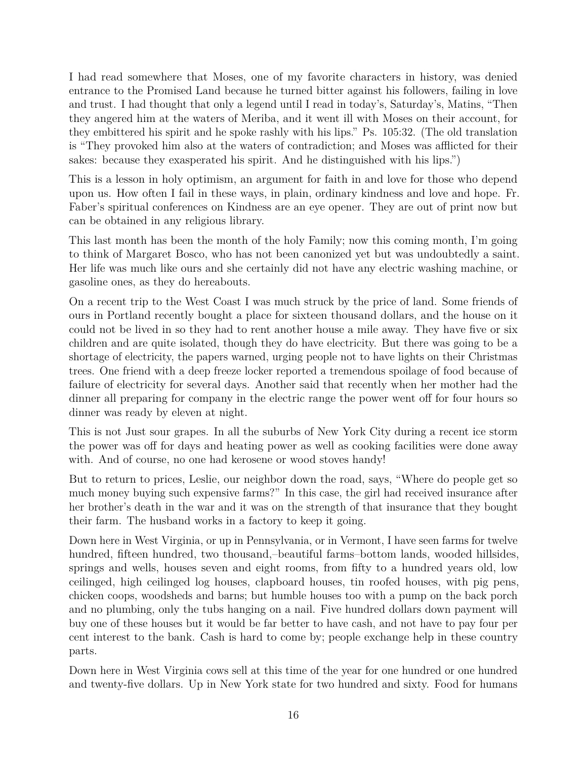I had read somewhere that Moses, one of my favorite characters in history, was denied entrance to the Promised Land because he turned bitter against his followers, failing in love and trust. I had thought that only a legend until I read in today's, Saturday's, Matins, "Then they angered him at the waters of Meriba, and it went ill with Moses on their account, for they embittered his spirit and he spoke rashly with his lips." Ps. 105:32. (The old translation is "They provoked him also at the waters of contradiction; and Moses was afflicted for their sakes: because they exasperated his spirit. And he distinguished with his lips.")

This is a lesson in holy optimism, an argument for faith in and love for those who depend upon us. How often I fail in these ways, in plain, ordinary kindness and love and hope. Fr. Faber's spiritual conferences on Kindness are an eye opener. They are out of print now but can be obtained in any religious library.

This last month has been the month of the holy Family; now this coming month, I'm going to think of Margaret Bosco, who has not been canonized yet but was undoubtedly a saint. Her life was much like ours and she certainly did not have any electric washing machine, or gasoline ones, as they do hereabouts.

On a recent trip to the West Coast I was much struck by the price of land. Some friends of ours in Portland recently bought a place for sixteen thousand dollars, and the house on it could not be lived in so they had to rent another house a mile away. They have five or six children and are quite isolated, though they do have electricity. But there was going to be a shortage of electricity, the papers warned, urging people not to have lights on their Christmas trees. One friend with a deep freeze locker reported a tremendous spoilage of food because of failure of electricity for several days. Another said that recently when her mother had the dinner all preparing for company in the electric range the power went off for four hours so dinner was ready by eleven at night.

This is not Just sour grapes. In all the suburbs of New York City during a recent ice storm the power was off for days and heating power as well as cooking facilities were done away with. And of course, no one had kerosene or wood stoves handy!

But to return to prices, Leslie, our neighbor down the road, says, "Where do people get so much money buying such expensive farms?" In this case, the girl had received insurance after her brother's death in the war and it was on the strength of that insurance that they bought their farm. The husband works in a factory to keep it going.

Down here in West Virginia, or up in Pennsylvania, or in Vermont, I have seen farms for twelve hundred, fifteen hundred, two thousand,–beautiful farms–bottom lands, wooded hillsides, springs and wells, houses seven and eight rooms, from fifty to a hundred years old, low ceilinged, high ceilinged log houses, clapboard houses, tin roofed houses, with pig pens, chicken coops, woodsheds and barns; but humble houses too with a pump on the back porch and no plumbing, only the tubs hanging on a nail. Five hundred dollars down payment will buy one of these houses but it would be far better to have cash, and not have to pay four per cent interest to the bank. Cash is hard to come by; people exchange help in these country parts.

Down here in West Virginia cows sell at this time of the year for one hundred or one hundred and twenty-five dollars. Up in New York state for two hundred and sixty. Food for humans